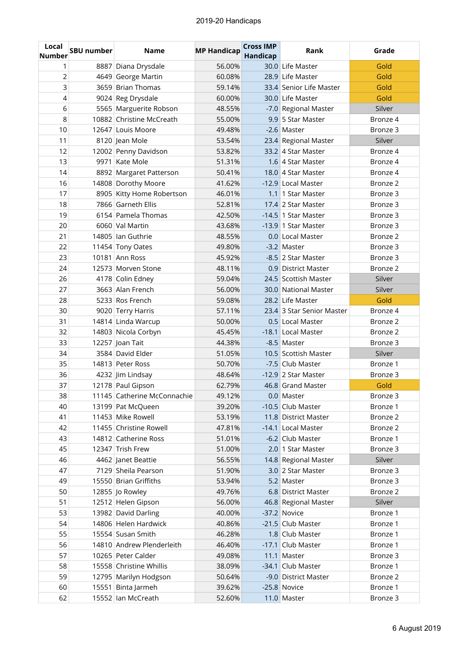## 2019-20 Handicaps

| Local<br><b>Number</b> | <b>SBU number</b> | <b>Name</b>                 | <b>MP Handicap</b> | <b>Cross IMP</b><br>Handicap | Rank                      | Grade               |
|------------------------|-------------------|-----------------------------|--------------------|------------------------------|---------------------------|---------------------|
| 1                      |                   | 8887 Diana Drysdale         | 56.00%             |                              | 30.0 Life Master          | Gold                |
| 2                      |                   | 4649 George Martin          | 60.08%             |                              | 28.9 Life Master          | Gold                |
| 3                      |                   | 3659 Brian Thomas           | 59.14%             |                              | 33.4 Senior Life Master   | Gold                |
| 4                      |                   | 9024 Reg Drysdale           | 60.00%             |                              | 30.0 Life Master          | Gold                |
| 6                      |                   | 5565 Marguerite Robson      | 48.55%             |                              | -7.0 Regional Master      | Silver              |
| 8                      |                   | 10882 Christine McCreath    | 55.00%             |                              | 9.9 5 Star Master         | Bronze 4            |
| 10                     |                   | 12647 Louis Moore           | 49.48%             |                              | -2.6 Master               | Bronze 3            |
| 11                     |                   | 8120 Jean Mole              | 53.54%             |                              | 23.4 Regional Master      | Silver              |
| 12                     |                   | 12002 Penny Davidson        | 53.82%             |                              | 33.2 4 Star Master        | Bronze 4            |
| 13                     |                   | 9971 Kate Mole              | 51.31%             |                              | 1.6 4 Star Master         | Bronze 4            |
| 14                     |                   | 8892 Margaret Patterson     | 50.41%             |                              | 18.0 4 Star Master        | Bronze 4            |
| 16                     |                   | 14808 Dorothy Moore         | 41.62%             |                              | -12.9 Local Master        | Bronze 2            |
| 17                     |                   | 8905 Kitty Home Robertson   | 46.01%             |                              | 1.1 1 Star Master         | Bronze 3            |
| 18                     |                   | 7866 Garneth Ellis          | 52.81%             |                              | 17.4 2 Star Master        | Bronze 3            |
| 19                     |                   | 6154 Pamela Thomas          | 42.50%             |                              | -14.5 1 Star Master       | Bronze 3            |
| 20                     |                   | 6060 Val Martin             | 43.68%             |                              | $-13.9$ 1 Star Master     | Bronze 3            |
| 21                     |                   | 14805 Ian Guthrie           | 48.55%             |                              | 0.0 Local Master          | Bronze 2            |
| 22                     |                   | 11454 Tony Oates            | 49.80%             |                              | -3.2 Master               | Bronze 3            |
| 23                     |                   | 10181 Ann Ross              | 45.92%             |                              | -8.5 2 Star Master        | Bronze 3            |
| 24                     |                   | 12573 Morven Stone          | 48.11%             |                              | 0.9 District Master       | Bronze 2            |
| 26                     |                   | 4178 Colin Edney            | 59.04%             |                              | 24.5 Scottish Master      | Silver              |
| 27                     |                   | 3663 Alan French            | 56.00%             |                              | 30.0 National Master      | Silver              |
| 28                     |                   | 5233 Ros French             | 59.08%             |                              | 28.2 Life Master          | Gold                |
| 30                     |                   | 9020 Terry Harris           | 57.11%             |                              | 23.4 3 Star Senior Master | Bronze 4            |
| 31                     |                   | 14814 Linda Warcup          | 50.00%             |                              | 0.5 Local Master          | Bronze 2            |
| 32                     |                   | 14803 Nicola Corbyn         | 45.45%             |                              | -18.1 Local Master        | Bronze 2            |
| 33                     |                   | 12257 Joan Tait             | 44.38%             |                              | -8.5 Master               | Bronze 3            |
| 34                     |                   | 3584 David Elder            | 51.05%             |                              | 10.5 Scottish Master      | Silver              |
| 35                     |                   | 14813 Peter Ross            | 50.70%             |                              | -7.5 Club Master          | Bronze 1            |
| 36                     |                   | 4232 Jim Lindsay            | 48.64%             |                              | -12.9 2 Star Master       | Bronze <sub>3</sub> |
| 37                     |                   | 12178 Paul Gipson           | 62.79%             |                              | 46.8 Grand Master         | Gold                |
| 38                     |                   | 11145 Catherine McConnachie | 49.12%             |                              | 0.0 Master                | Bronze 3            |
| 40                     |                   | 13199 Pat McQueen           | 39.20%             |                              | -10.5 Club Master         | Bronze 1            |
| 41                     |                   | 11453 Mike Rowell           | 53.19%             |                              | 11.8 District Master      | Bronze 2            |
| 42                     |                   | 11455 Christine Rowell      | 47.81%             |                              | -14.1 Local Master        | Bronze 2            |
| 43                     |                   | 14812 Catherine Ross        | 51.01%             |                              | -6.2 Club Master          | Bronze 1            |
| 45                     |                   | 12347 Trish Frew            | 51.00%             |                              | 2.0 1 Star Master         | Bronze 3            |
| 46                     |                   | 4462 Janet Beattie          | 56.55%             |                              | 14.8 Regional Master      | Silver              |
| 47                     |                   | 7129 Sheila Pearson         | 51.90%             |                              | 3.0 2 Star Master         | Bronze 3            |
| 49                     |                   | 15550 Brian Griffiths       | 53.94%             |                              | 5.2 Master                | Bronze 3            |
| 50                     |                   | 12855 Jo Rowley             | 49.76%             |                              | 6.8 District Master       | Bronze 2            |
| 51                     |                   | 12512 Helen Gipson          | 56.00%             |                              | 46.8 Regional Master      | Silver              |
| 53                     |                   | 13982 David Darling         | 40.00%             |                              | -37.2 Novice              | Bronze 1            |
| 54                     |                   | 14806 Helen Hardwick        | 40.86%             |                              | -21.5 Club Master         | Bronze 1            |
| 55                     |                   | 15554 Susan Smith           | 46.28%             |                              | 1.8 Club Master           | Bronze 1            |
| 56                     |                   | 14810 Andrew Plenderleith   | 46.40%             |                              | -17.1 Club Master         | Bronze 1            |
| 57                     |                   | 10265 Peter Calder          | 49.08%             |                              | 11.1 Master               | Bronze 3            |
| 58                     |                   | 15558 Christine Whillis     | 38.09%             |                              | -34.1 Club Master         | Bronze 1            |
| 59                     |                   | 12795 Marilyn Hodgson       | 50.64%             |                              | -9.0 District Master      | Bronze 2            |
| 60                     |                   | 15551 Binta Jarmeh          | 39.62%             |                              | -25.8 Novice              | Bronze 1            |
| 62                     |                   | 15552 Ian McCreath          | 52.60%             |                              | 11.0 Master               | Bronze 3            |